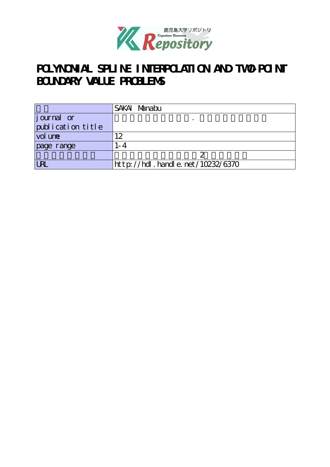

# POLYNOMIAL SPLINE INTERPOLATION AND TWO-POINT **BOUNDARY VALUE PROBLEMS**

|                    | SAKAI Manabu                          |
|--------------------|---------------------------------------|
| <i>j</i> ournal or |                                       |
| publication title  |                                       |
| vol une            | $\overline{2}$                        |
| page range         | I - 4                                 |
|                    |                                       |
| <b>URL</b>         | $http$ ://hdl. handle. net/10232/6370 |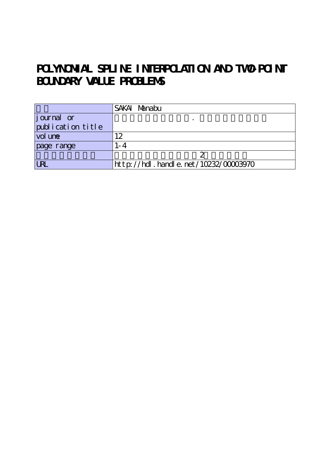# POLYNOMIAL SPLINE INTERPOLATION AND TWO-POINT **BOUNDARY VALUE PROBLEMS**

|                    | SAKAI Manabu                              |
|--------------------|-------------------------------------------|
| <i>j</i> ournal or |                                           |
| publication title  |                                           |
| vol une            | $\overline{2}$                            |
| page range         | l - 4                                     |
|                    |                                           |
| <b>URI</b>         | $http$ ://hdl. handle. net/10232/00003970 |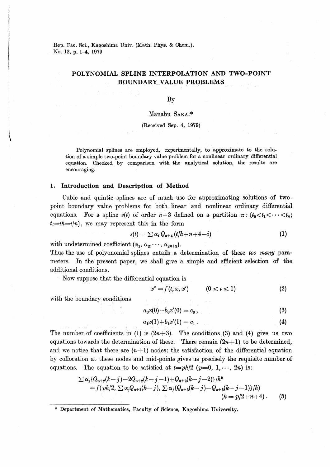# POLYNOMIAL SPLINE INTERPOLATION AND TWO-POINT **BOUNDARY VALUE PROBLEMS**

### $\rm\,By$

### Manabu SAKAI\*

### (Received Sep. 4, 1979)

Polynomial splines are employed, experimentally, to approximate to the solution of a simple two-point boundary value problem for a nonlinear ordinary differential equation. Checked by comparison with the analytical solution, the results are encouraging.

#### Introduction and Description of Method 1.

Cubic and quintic splines are of much use for approximating solutions of twopoint boundary value problems for both linear and nonlinear ordinary differential equations. For a spline  $s(t)$  of order  $n+3$  defined on a partition  $\pi: \{t_0 < t_1 < \cdots < t_n\}$  $t_i = ih = i/n$ , we may represent this in the form

$$
s(t) = \sum \alpha_i Q_{n+4} (t/h + n + 4 - i)
$$
 (1)

with undetermined coefficient  $(\alpha_1, \alpha_2, \dots, \alpha_{2n+3})$ .

Thus the use of polyonomial splines entails a determination of these too many parameters. In the present paper, we shall give a simple and efficient selection of the additional conditions.

 $\label{eq:2} \mathcal{L}^{\text{c}}(x,y) = \frac{1}{\sqrt{2\pi}}\frac{y}{\sqrt{2\pi}} \frac{y}{\sqrt{2\pi}} \, .$ 

Now suppose that the differential equation is

$$
x'' = f(t, x, x') \qquad (0 \le t \le 1) \tag{2}
$$

with the boundary conditions

$$
a_0 x(0) - b_0 x'(0) = c_0,
$$
\n(3)

$$
a_1x(1) + b_1x'(1) = c_1.
$$
 (4)

The number of coefficients in (1) is  $(2n+3)$ . The conditions (3) and (4) give us two equations towards the determination of these. There remain  $(2n+1)$  to be determined, and we notice that there are  $(n+1)$  nodes: the satisfaction of the differential equation by collocation at these nodes and mid-points gives us precisely the requisite number of equations. The equation to be satisfied at  $t=ph/2$  ( $p=0, 1, \dots, 2n$ ) is:

$$
\sum \alpha_j \{Q_{n+2}(k-j)-2Q_{n+2}(k-j-1)+Q_{n+2}(k-j-2)\}\,h^2
$$
\n
$$
=f(\,ph/2,\,\sum \alpha_j Q_{n+4}(k-j),\,\sum \alpha_j \{Q_{n+3}(k-j)-Q_{n+3}(k-j-1)\}\,h)
$$
\n
$$
(k=p/2+n+4) \,.
$$
\n(5)

\* Department of Mathematics, Faculty of Science, Kagoshima University.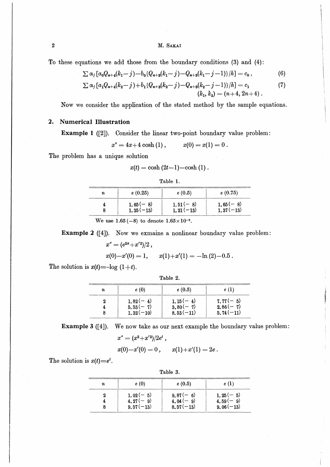M. SAKAI

To these equations we add those from the boundary conditions (3) and (4):

$$
\sum \alpha_j \left[ a_0 Q_{n+4}(k_1 - j) - b_0 (Q_{n+8}(k_1 - j) - Q_{n+8}(k_1 - j - 1)) / h \right] = c_0, \qquad (6)
$$

$$
\sum \alpha_j \left[ a_1 Q_{n+4}(k_2 - j) + b_1 (Q_{n+3}(k_2 - j) - Q_{n+3}(k_2 - j - 1)) / h \right] = c_1
$$
\n
$$
(k_1, k_2) = (n+4, 2n+4).
$$
\n(7)

、・・J1--- し 1・、

Now we consider the application of the stated method by the sample equations.

## 2. Numerical Illustration

Example 1 ([2]). Consider the linear two-point boundary value problem:

 $x'' = 4x+4 \cosh(1), \hspace{1cm} x(0) = x(1) = 0.$ 

The problem has a unique solution

$$
x(t) = \cosh(2t-1) - \cosh(1).
$$

| anie |
|------|
|------|

| $\boldsymbol{n}$ | e(0.25)     | e(0.5)       | e(0.75)     |
|------------------|-------------|--------------|-------------|
|                  | $1.65(-8)$  | $1.51(-8)$   | $1,65(-8)$  |
|                  | $1,35(-13)$ | $1, 21(-13)$ | $1,37(-13)$ |

We use  $1.65(-8)$  to denote  $1.65 \times 10^{-8}$ .

Example 2 ([4]). Now we exmaine a nonlinear boundary value problem:

$$
x'' = (e^{2x} + x'^2)/2 \ ,
$$

$$
x(0)-x'(0)=1, \qquad x(1)+x'(1)=-\ln(2)-0.5.
$$

The solution is  $x(t) = -\log(1+t)$ .

| Table |  |
|-------|--|
|-------|--|

| п | e(0)        | e(0.5)      | e(1)        |
|---|-------------|-------------|-------------|
|   | $1,82(-4)$  | $1.15(-4)$  | $7.77(-5)$  |
|   | $5.53(-7)$  | $3.80(-7)$  | $2.86(-7)$  |
|   | $1.32(-10)$ | $8.53(-11)$ | $5.74(-11)$ |

Example 3 ([4]). We now take as our next example the boundary value problem:

$$
x'' = (x^2 + x'^2)/2e^t,
$$

$$
x(0)-x'(0)=0\,,\qquad x(1)+x'(1)=2e\,.
$$

The solution is  $x(t)=e^t$ .

| Table 3. |             |             |             |
|----------|-------------|-------------|-------------|
| n        | e(0)        | e(0.5)      | e(1)        |
|          | $1.02(-5)$  | $9.87(-6)$  | $1.25(-5)$  |
|          | $4.27(-9)$  | $4.04(-9)$  | $4.59(-9)$  |
|          | $9.57(-13)$ | $8.57(-13)$ | $9.06(-13)$ |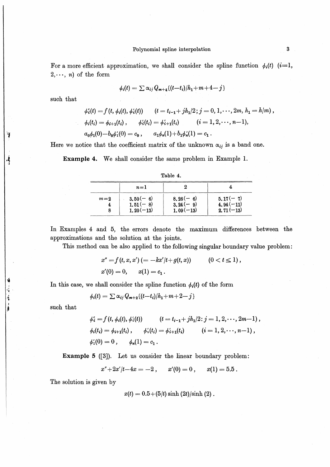For a more efficient approximation, we shall consider the spline function  $\phi_i(t)$  (i=1,  $2,\dots, n$  of the form

$$
\phi_i(t) = \sum \alpha_{ij} Q_{m+4} \{ (t-t_i)/h_1 + m + 4 - j \}
$$

such that

Ý

ł

**海棠 医肾上腺** 

$$
\phi_i'(t) = f(t, \phi_i(t), \phi_i'(t)) \qquad (t = t_{i-1} + jh_1/2; j = 0, 1, \dots, 2m, h_1 = h/m),
$$
  

$$
\phi_i(t_i) = \phi_{i+1}(t_i), \qquad \phi_i'(t_i) = \phi_{i+1}'(t_i) \qquad (i = 1, 2, \dots, n-1),
$$
  

$$
a_0\phi_1(0) - b_0\phi_1'(0) = c_0, \qquad a_1\phi_n(1) + b_1\phi_n'(1) = c_1.
$$

Here we notice that the coefficient matrix of the unknown  $\alpha_{ij}$  is a band one.

**Example 4.** We shall consider the same problem in Example 1.

|       | $n=1$                                    |                                         |                                          |
|-------|------------------------------------------|-----------------------------------------|------------------------------------------|
| $m=2$ | $3.50(-6)$<br>$1,51(-8)$<br>$1, 20(-13)$ | $8,26(-6)$<br>$3.24(-9)$<br>$1.09(-13)$ | $5.17(-7)$<br>$4.94(-11)$<br>$2.71(-13)$ |

Table 4.

In Examples 4 and 5, the errors denote the maximum differences between the approximations and the solution at the joints.

This method can be also applied to the following singular boundary value problem:

$$
x'' = f(t, x, x') (= -kx'/t + g(t, x)) \qquad (0 < t \le 1),
$$
  
\n
$$
x'(0) = 0, \qquad x(1) = c_1.
$$

In this case, we shall consider the spline function  $\phi_i(t)$  of the form

$$
\phi_i(t) = \sum \alpha_{ij} Q_{m+2} \{ (t-t_i)/h_1 + m + 2 - j \}
$$

such that

$$
\begin{aligned}\n\phi_i^* &= f(t, \phi_i(t), \phi_i^*(t)) & (t = t_{i-1} + jh_1/2 \colon j = 1, 2, \dots, 2m-1) \,, \\
\phi_i(t_i) &= \phi_{i+1}(t_i) \,, \qquad \phi_i'(t_i) = \phi_{i+1}^*(t_i) & (i = 1, 2, \dots, n-1) \,, \\
\phi_1^*(0) &= 0 \,, \qquad \phi_n(1) = c_1 \,. \n\end{aligned}
$$

**Example 5** ([3]). Let us consider the linear boundary problem:

 $x'' + 2x'/t - 4x = -2$ ,  $x'(0) = 0,$  $x(1) = 5.5$ .

The solution is given by

 $x(t) = 0.5 + (5/t) \sinh(2t)/\sinh(2)$ .